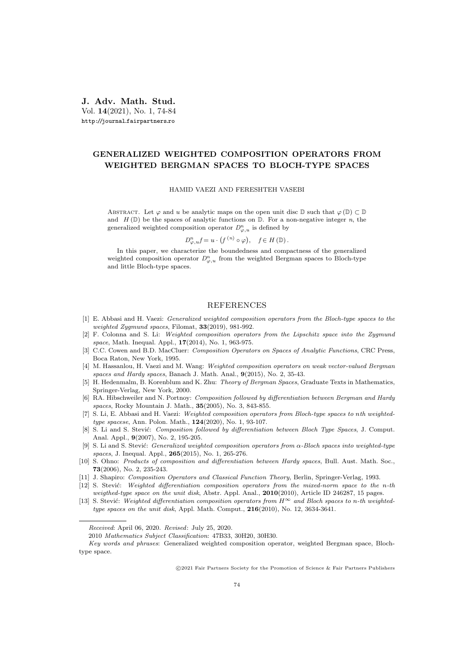J. Adv. Math. Stud. Vol. 14(2021), No. 1, 74-84 http://journal.fairpartners.ro

## GENERALIZED WEIGHTED COMPOSITION OPERATORS FROM WEIGHTED BERGMAN SPACES TO BLOCH-TYPE SPACES

HAMID VAEZI AND FERESHTEH VASEBI

ABSTRACT. Let  $\varphi$  and u be analytic maps on the open unit disc D such that  $\varphi(\mathbb{D}) \subset \mathbb{D}$ and  $H(\mathbb{D})$  be the spaces of analytic functions on  $\mathbb{D}$ . For a non-negative integer n, the generalized weighted composition operator  $D_{\varphi, u}^n$  is defined by

$$
D_{\varphi, u}^{n} f = u \cdot (f^{(n)} \circ \varphi), \quad f \in H(\mathbb{D}).
$$

In this paper, we characterize the boundedness and compactness of the generalized weighted composition operator  $D_{\varphi, u}^n$  from the weighted Bergman spaces to Bloch-type and little Bloch-type spaces.

## REFERENCES

- [1] E. Abbasi and H. Vaezi: Generalized weighted composition operators from the Bloch-type spaces to the weighted Zygmund spaces, Filomat, 33(2019), 981-992.
- [2] F. Colonna and S. Li: Weighted composition operators from the Lipschitz space into the Zygmund space, Math. Inequal. Appl., 17(2014), No. 1, 963-975.
- [3] C.C. Cowen and B.D. MacCluer: Composition Operators on Spaces of Analytic Functions, CRC Press, Boca Raton, New York, 1995.
- [4] M. Hassanlou, H. Vaezi and M. Wang: Weighted composition operators on weak vector-valued Bergman spaces and Hardy spaces, Banach J. Math. Anal.,  $9(2015)$ , No. 2, 35-43.
- [5] H. Hedenmalm, B. Korenblum and K. Zhu: Theory of Bergman Spaces, Graduate Texts in Mathematics, Springer-Verlag, New York, 2000.
- [6] RA. Hibschweiler and N. Portnoy: Composition followed by differentiation between Bergman and Hardy spaces, Rocky Mountain J. Math., 35(2005), No. 3, 843-855.
- [7] S. Li, E. Abbasi and H. Vaezi: Weighted composition operators from Bloch-type spaces to nth weightedtype spacese, Ann. Polon. Math., 124(2020), No. 1, 93-107.
- [8] S. Li and S. Stević: Composition followed by differentiation between Bloch Type Spaces, J. Comput. Anal. Appl., 9(2007), No. 2, 195-205.
- [9] S. Li and S. Stević: Generalized weighted composition operators from  $\alpha$ -Bloch spaces into weighted-type spaces, J. Inequal. Appl., 265(2015), No. 1, 265-276.
- [10] S. Ohno: Products of composition and differentiation between Hardy spaces, Bull. Aust. Math. Soc., 73(2006), No. 2, 235-243.
- [11] J. Shapiro: Composition Operators and Classical Function Theory, Berlin, Springer-Verlag, 1993.
- $[12]$  S. Stević: Weighted differentiation composition operators from the mixed-norm space to the n-th weigthed-type space on the unit disk, Abstr. Appl. Anal., 2010(2010), Article ID 246287, 15 pages.
- [13] S. Stević: Weighted differentiation composition operators from  $H^{\infty}$  and Bloch spaces to n-th weightedtype spaces on the unit disk, Appl. Math. Comput., 216(2010), No. 12, 3634-3641.

c 2021 Fair Partners Society for the Promotion of Science & Fair Partners Publishers

Received: April 06, 2020. Revised: July 25, 2020.

<sup>2010</sup> Mathematics Subject Classification: 47B33, 30H20, 30H30.

Key words and phrases: Generalized weighted composition operator, weighted Bergman space, Blochtype space.